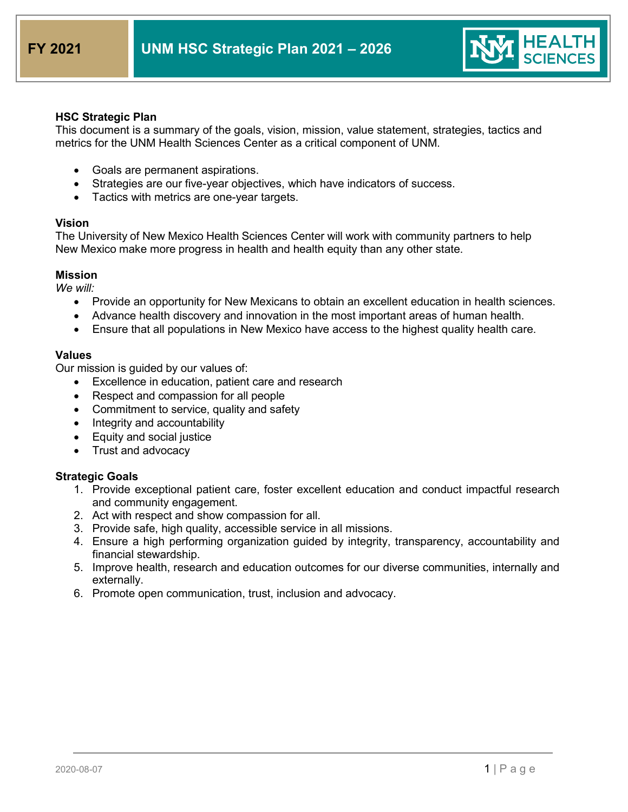

## **HSC Strategic Plan**

This document is a summary of the goals, vision, mission, value statement, strategies, tactics and metrics for the UNM Health Sciences Center as a critical component of UNM.

- Goals are permanent aspirations.
- Strategies are our five-year objectives, which have indicators of success.
- Tactics with metrics are one-year targets.

## **Vision**

The University of New Mexico Health Sciences Center will work with community partners to help New Mexico make more progress in health and health equity than any other state.

## **Mission**

*We will:*

- Provide an opportunity for New Mexicans to obtain an excellent education in health sciences.
- Advance health discovery and innovation in the most important areas of human health.
- Ensure that all populations in New Mexico have access to the highest quality health care.

## **Values**

Our mission is guided by our values of:

- Excellence in education, patient care and research
- Respect and compassion for all people
- Commitment to service, quality and safety
- Integrity and accountability
- Equity and social justice
- Trust and advocacy

## **Strategic Goals**

- 1. Provide exceptional patient care, foster excellent education and conduct impactful research and community engagement.
- 2. Act with respect and show compassion for all.
- 3. Provide safe, high quality, accessible service in all missions.
- 4. Ensure a high performing organization guided by integrity, transparency, accountability and financial stewardship.
- 5. Improve health, research and education outcomes for our diverse communities, internally and externally.
- 6. Promote open communication, trust, inclusion and advocacy.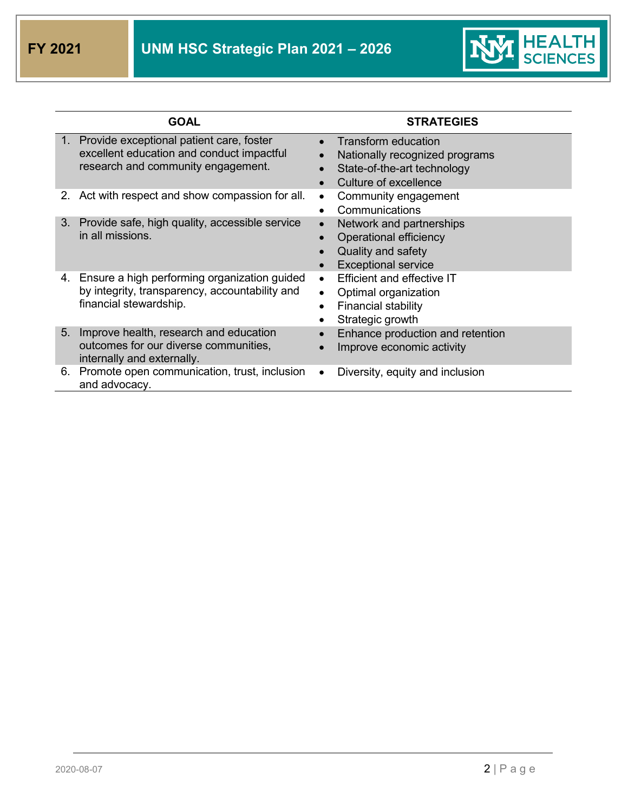

|    | <b>GOAL</b>                                                                                                                    | <b>STRATEGIES</b>                                                                                             |
|----|--------------------------------------------------------------------------------------------------------------------------------|---------------------------------------------------------------------------------------------------------------|
|    | 1. Provide exceptional patient care, foster<br>excellent education and conduct impactful<br>research and community engagement. | Transform education<br>Nationally recognized programs<br>State-of-the-art technology<br>Culture of excellence |
| 2. | Act with respect and show compassion for all.                                                                                  | Community engagement<br>$\bullet$<br>Communications                                                           |
|    | 3. Provide safe, high quality, accessible service<br>in all missions.                                                          | Network and partnerships<br>Operational efficiency<br>Quality and safety<br><b>Exceptional service</b>        |
| 4. | Ensure a high performing organization guided<br>by integrity, transparency, accountability and<br>financial stewardship.       | Efficient and effective IT<br>$\bullet$<br>Optimal organization<br>Financial stability<br>Strategic growth    |
| 5. | Improve health, research and education<br>outcomes for our diverse communities,<br>internally and externally.                  | Enhance production and retention<br>Improve economic activity                                                 |
| 6. | Promote open communication, trust, inclusion<br>and advocacy.                                                                  | Diversity, equity and inclusion                                                                               |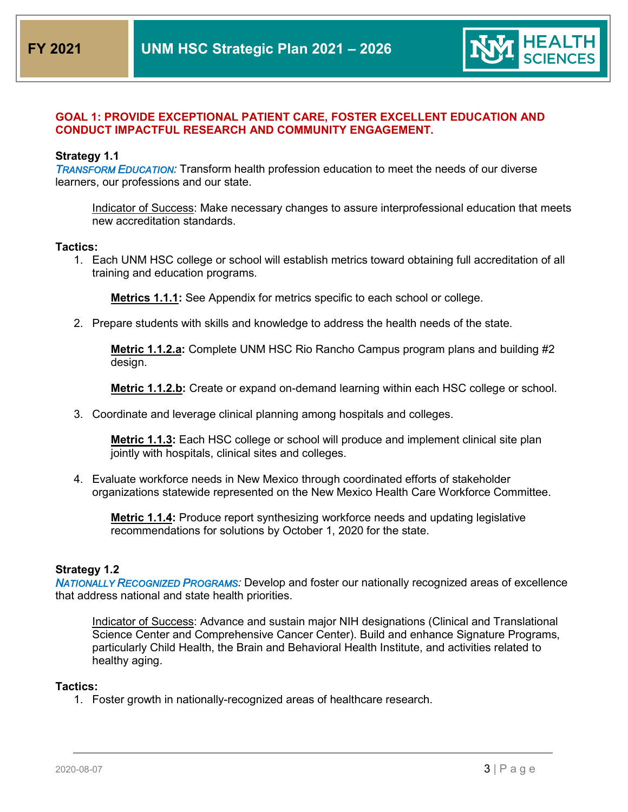

# **GOAL 1: PROVIDE EXCEPTIONAL PATIENT CARE, FOSTER EXCELLENT EDUCATION AND CONDUCT IMPACTFUL RESEARCH AND COMMUNITY ENGAGEMENT.**

## **Strategy 1.1**

*TRANSFORM EDUCATION:* Transform health profession education to meet the needs of our diverse learners, our professions and our state.

Indicator of Success: Make necessary changes to assure interprofessional education that meets new accreditation standards.

### **Tactics:**

1. Each UNM HSC college or school will establish metrics toward obtaining full accreditation of all training and education programs.

**Metrics 1.1.1:** See Appendix for metrics specific to each school or college.

2. Prepare students with skills and knowledge to address the health needs of the state.

**Metric 1.1.2.a:** Complete UNM HSC Rio Rancho Campus program plans and building #2 design.

**Metric 1.1.2.b:** Create or expand on-demand learning within each HSC college or school.

3. Coordinate and leverage clinical planning among hospitals and colleges.

**Metric 1.1.3:** Each HSC college or school will produce and implement clinical site plan jointly with hospitals, clinical sites and colleges.

4. Evaluate workforce needs in New Mexico through coordinated efforts of stakeholder organizations statewide represented on the New Mexico Health Care Workforce Committee.

**Metric 1.1.4:** Produce report synthesizing workforce needs and updating legislative recommendations for solutions by October 1, 2020 for the state.

## **Strategy 1.2**

*NATIONALLY RECOGNIZED PROGRAMS:* Develop and foster our nationally recognized areas of excellence that address national and state health priorities.

Indicator of Success: Advance and sustain major NIH designations (Clinical and Translational Science Center and Comprehensive Cancer Center). Build and enhance Signature Programs, particularly Child Health, the Brain and Behavioral Health Institute, and activities related to healthy aging.

#### **Tactics:**

1. Foster growth in nationally-recognized areas of healthcare research.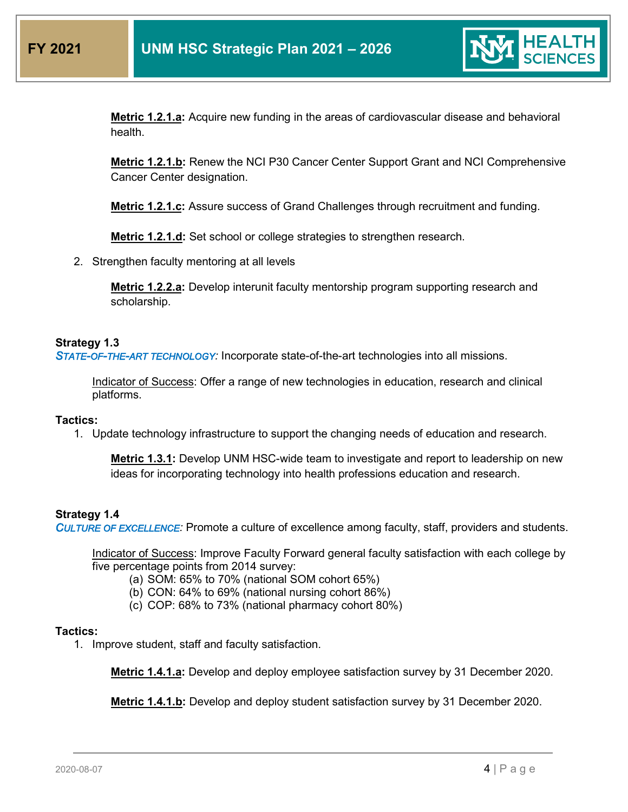

**Metric 1.2.1.a:** Acquire new funding in the areas of cardiovascular disease and behavioral health.

**Metric 1.2.1.b:** Renew the NCI P30 Cancer Center Support Grant and NCI Comprehensive Cancer Center designation.

**Metric 1.2.1.c:** Assure success of Grand Challenges through recruitment and funding.

**Metric 1.2.1.d:** Set school or college strategies to strengthen research.

2. Strengthen faculty mentoring at all levels

**Metric 1.2.2.a:** Develop interunit faculty mentorship program supporting research and scholarship.

## **Strategy 1.3**

*STATE-OF-THE-ART TECHNOLOGY:* Incorporate state-of-the-art technologies into all missions.

Indicator of Success: Offer a range of new technologies in education, research and clinical platforms.

#### **Tactics:**

1. Update technology infrastructure to support the changing needs of education and research.

**Metric 1.3.1:** Develop UNM HSC-wide team to investigate and report to leadership on new ideas for incorporating technology into health professions education and research.

## **Strategy 1.4**

*CULTURE OF EXCELLENCE:* Promote a culture of excellence among faculty, staff, providers and students.

Indicator of Success: Improve Faculty Forward general faculty satisfaction with each college by five percentage points from 2014 survey:

- (a) SOM: 65% to 70% (national SOM cohort 65%)
- (b) CON: 64% to 69% (national nursing cohort 86%)
- (c) COP: 68% to 73% (national pharmacy cohort 80%)

### **Tactics:**

1. Improve student, staff and faculty satisfaction.

**Metric 1.4.1.a:** Develop and deploy employee satisfaction survey by 31 December 2020.

**Metric 1.4.1.b:** Develop and deploy student satisfaction survey by 31 December 2020.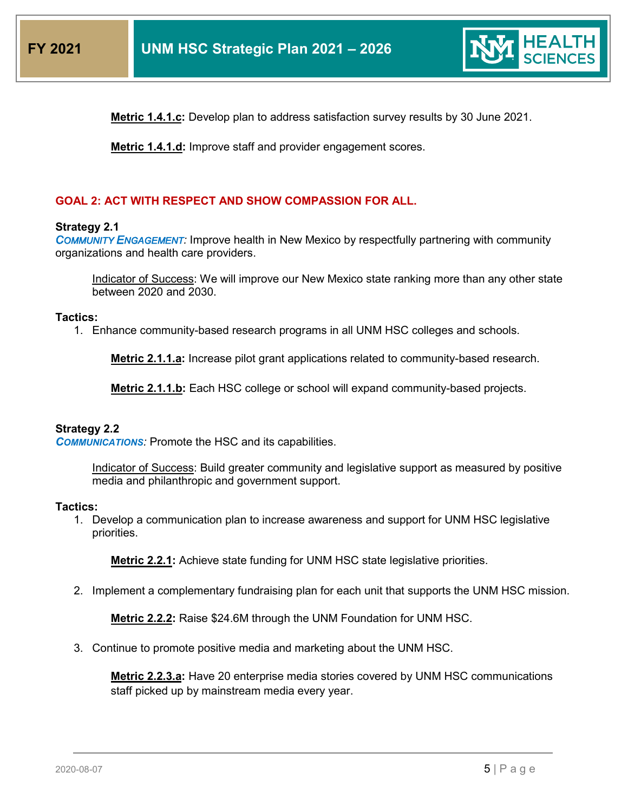

**Metric 1.4.1.c:** Develop plan to address satisfaction survey results by 30 June 2021.

**Metric 1.4.1.d:** Improve staff and provider engagement scores.

# **GOAL 2: ACT WITH RESPECT AND SHOW COMPASSION FOR ALL.**

## **Strategy 2.1**

*COMMUNITY ENGAGEMENT:* Improve health in New Mexico by respectfully partnering with community organizations and health care providers.

Indicator of Success: We will improve our New Mexico state ranking more than any other state between 2020 and 2030.

## **Tactics:**

1. Enhance community-based research programs in all UNM HSC colleges and schools.

**Metric 2.1.1.a:** Increase pilot grant applications related to community-based research.

**Metric 2.1.1.b:** Each HSC college or school will expand community-based projects.

## **Strategy 2.2**

**COMMUNICATIONS:** Promote the HSC and its capabilities.

Indicator of Success: Build greater community and legislative support as measured by positive media and philanthropic and government support.

#### **Tactics:**

1. Develop a communication plan to increase awareness and support for UNM HSC legislative priorities.

**Metric 2.2.1:** Achieve state funding for UNM HSC state legislative priorities.

2. Implement a complementary fundraising plan for each unit that supports the UNM HSC mission.

**Metric 2.2.2:** Raise \$24.6M through the UNM Foundation for UNM HSC.

3. Continue to promote positive media and marketing about the UNM HSC.

**Metric 2.2.3.a:** Have 20 enterprise media stories covered by UNM HSC communications staff picked up by mainstream media every year.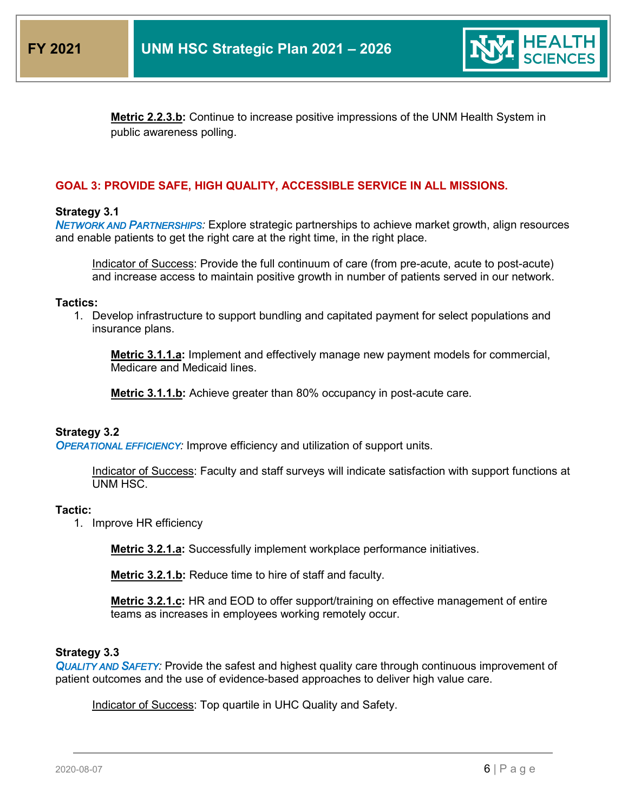

**Metric 2.2.3.b:** Continue to increase positive impressions of the UNM Health System in public awareness polling.

## **GOAL 3: PROVIDE SAFE, HIGH QUALITY, ACCESSIBLE SERVICE IN ALL MISSIONS.**

### **Strategy 3.1**

*NETWORK AND PARTNERSHIPS:* Explore strategic partnerships to achieve market growth, align resources and enable patients to get the right care at the right time, in the right place.

Indicator of Success: Provide the full continuum of care (from pre-acute, acute to post-acute) and increase access to maintain positive growth in number of patients served in our network.

#### **Tactics:**

1. Develop infrastructure to support bundling and capitated payment for select populations and insurance plans.

**Metric 3.1.1.a:** Implement and effectively manage new payment models for commercial, Medicare and Medicaid lines.

**Metric 3.1.1.b:** Achieve greater than 80% occupancy in post-acute care.

#### **Strategy 3.2**

*OPERATIONAL EFFICIENCY:* Improve efficiency and utilization of support units.

Indicator of Success: Faculty and staff surveys will indicate satisfaction with support functions at UNM HSC.

#### **Tactic:**

1. Improve HR efficiency

**Metric 3.2.1.a:** Successfully implement workplace performance initiatives.

**Metric 3.2.1.b:** Reduce time to hire of staff and faculty.

**Metric 3.2.1.c:** HR and EOD to offer support/training on effective management of entire teams as increases in employees working remotely occur.

#### **Strategy 3.3**

*QUALITY AND SAFETY:* Provide the safest and highest quality care through continuous improvement of patient outcomes and the use of evidence-based approaches to deliver high value care.

Indicator of Success: Top quartile in UHC Quality and Safety.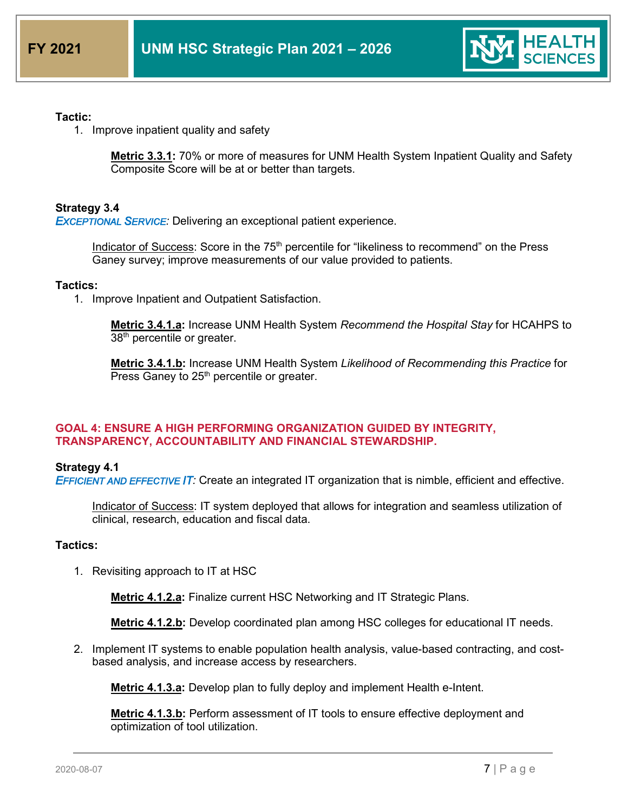

## **Tactic:**

1. Improve inpatient quality and safety

**Metric 3.3.1:** 70% or more of measures for UNM Health System Inpatient Quality and Safety Composite Score will be at or better than targets.

## **Strategy 3.4**

*EXCEPTIONAL SERVICE:* Delivering an exceptional patient experience.

Indicator of Success: Score in the 75<sup>th</sup> percentile for "likeliness to recommend" on the Press Ganey survey; improve measurements of our value provided to patients.

## **Tactics:**

1. Improve Inpatient and Outpatient Satisfaction.

**Metric 3.4.1.a:** Increase UNM Health System *Recommend the Hospital Stay* for HCAHPS to 38<sup>th</sup> percentile or greater.

**Metric 3.4.1.b:** Increase UNM Health System *Likelihood of Recommending this Practice* for Press Ganey to  $25<sup>th</sup>$  percentile or greater.

## **GOAL 4: ENSURE A HIGH PERFORMING ORGANIZATION GUIDED BY INTEGRITY, TRANSPARENCY, ACCOUNTABILITY AND FINANCIAL STEWARDSHIP.**

## **Strategy 4.1**

*EFFICIENT AND EFFECTIVE IT:* Create an integrated IT organization that is nimble, efficient and effective.

Indicator of Success: IT system deployed that allows for integration and seamless utilization of clinical, research, education and fiscal data.

## **Tactics:**

1. Revisiting approach to IT at HSC

**Metric 4.1.2.a:** Finalize current HSC Networking and IT Strategic Plans.

**Metric 4.1.2.b:** Develop coordinated plan among HSC colleges for educational IT needs.

2. Implement IT systems to enable population health analysis, value-based contracting, and costbased analysis, and increase access by researchers.

**Metric 4.1.3.a:** Develop plan to fully deploy and implement Health e-Intent.

**Metric 4.1.3.b:** Perform assessment of IT tools to ensure effective deployment and optimization of tool utilization.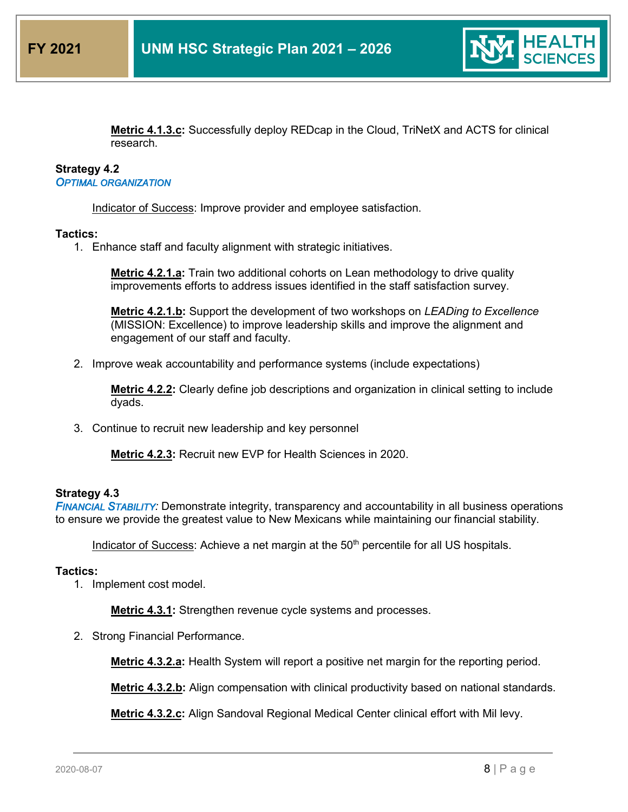

**Metric 4.1.3.c:** Successfully deploy REDcap in the Cloud, TriNetX and ACTS for clinical research.

## **Strategy 4.2** *OPTIMAL ORGANIZATION*

Indicator of Success: Improve provider and employee satisfaction.

## **Tactics:**

1. Enhance staff and faculty alignment with strategic initiatives.

**Metric 4.2.1.a:** Train two additional cohorts on Lean methodology to drive quality improvements efforts to address issues identified in the staff satisfaction survey.

**Metric 4.2.1.b:** Support the development of two workshops on *LEADing to Excellence* (MISSION: Excellence) to improve leadership skills and improve the alignment and engagement of our staff and faculty.

2. Improve weak accountability and performance systems (include expectations)

**Metric 4.2.2:** Clearly define job descriptions and organization in clinical setting to include dyads.

3. Continue to recruit new leadership and key personnel

**Metric 4.2.3:** Recruit new EVP for Health Sciences in 2020.

## **Strategy 4.3**

*FINANCIAL STABILITY:* Demonstrate integrity, transparency and accountability in all business operations to ensure we provide the greatest value to New Mexicans while maintaining our financial stability.

Indicator of Success: Achieve a net margin at the 50<sup>th</sup> percentile for all US hospitals.

## **Tactics:**

1. Implement cost model.

**Metric 4.3.1:** Strengthen revenue cycle systems and processes.

2. Strong Financial Performance.

**Metric 4.3.2.a:** Health System will report a positive net margin for the reporting period.

**Metric 4.3.2.b:** Align compensation with clinical productivity based on national standards.

**Metric 4.3.2.c:** Align Sandoval Regional Medical Center clinical effort with Mil levy.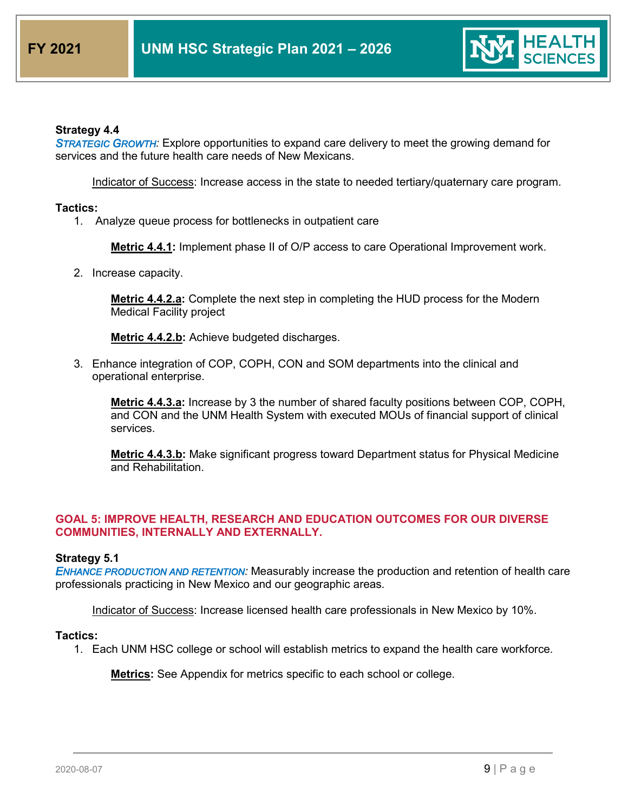

## **Strategy 4.4**

*STRATEGIC GROWTH:* Explore opportunities to expand care delivery to meet the growing demand for services and the future health care needs of New Mexicans.

Indicator of Success: Increase access in the state to needed tertiary/quaternary care program.

### **Tactics:**

1. Analyze queue process for bottlenecks in outpatient care

**Metric 4.4.1:** Implement phase II of O/P access to care Operational Improvement work.

2. Increase capacity.

**Metric 4.4.2.a:** Complete the next step in completing the HUD process for the Modern Medical Facility project

**Metric 4.4.2.b:** Achieve budgeted discharges.

3. Enhance integration of COP, COPH, CON and SOM departments into the clinical and operational enterprise.

**Metric 4.4.3.a:** Increase by 3 the number of shared faculty positions between COP, COPH, and CON and the UNM Health System with executed MOUs of financial support of clinical services.

**Metric 4.4.3.b:** Make significant progress toward Department status for Physical Medicine and Rehabilitation.

# **GOAL 5: IMPROVE HEALTH, RESEARCH AND EDUCATION OUTCOMES FOR OUR DIVERSE COMMUNITIES, INTERNALLY AND EXTERNALLY.**

## **Strategy 5.1**

*ENHANCE PRODUCTION AND RETENTION:* Measurably increase the production and retention of health care professionals practicing in New Mexico and our geographic areas.

Indicator of Success: Increase licensed health care professionals in New Mexico by 10%.

#### **Tactics:**

1. Each UNM HSC college or school will establish metrics to expand the health care workforce*.*

**Metrics:** See Appendix for metrics specific to each school or college.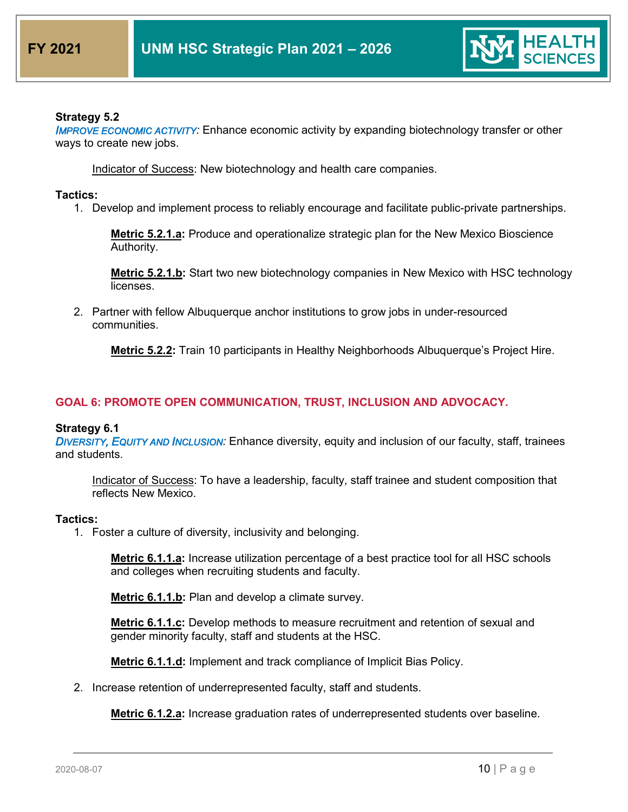

# **Strategy 5.2**

**IMPROVE ECONOMIC ACTIVITY:** Enhance economic activity by expanding biotechnology transfer or other ways to create new jobs.

Indicator of Success: New biotechnology and health care companies.

## **Tactics:**

1. Develop and implement process to reliably encourage and facilitate public-private partnerships.

**Metric 5.2.1.a:** Produce and operationalize strategic plan for the New Mexico Bioscience Authority.

**Metric 5.2.1.b:** Start two new biotechnology companies in New Mexico with HSC technology licenses.

2. Partner with fellow Albuquerque anchor institutions to grow jobs in under-resourced communities.

**Metric 5.2.2:** Train 10 participants in Healthy Neighborhoods Albuquerque's Project Hire.

# **GOAL 6: PROMOTE OPEN COMMUNICATION, TRUST, INCLUSION AND ADVOCACY.**

## **Strategy 6.1**

*DIVERSITY, EQUITY AND INCLUSION:* Enhance diversity, equity and inclusion of our faculty, staff, trainees and students.

Indicator of Success: To have a leadership, faculty, staff trainee and student composition that reflects New Mexico.

## **Tactics:**

1. Foster a culture of diversity, inclusivity and belonging.

**Metric 6.1.1.a:** Increase utilization percentage of a best practice tool for all HSC schools and colleges when recruiting students and faculty.

**Metric 6.1.1.b:** Plan and develop a climate survey.

**Metric 6.1.1.c:** Develop methods to measure recruitment and retention of sexual and gender minority faculty, staff and students at the HSC.

**Metric 6.1.1.d:** Implement and track compliance of Implicit Bias Policy.

2. Increase retention of underrepresented faculty, staff and students.

**Metric 6.1.2.a:** Increase graduation rates of underrepresented students over baseline.